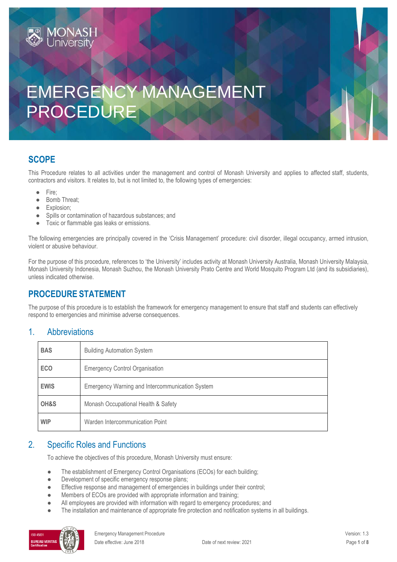# EMERGENCY MANAGEMENT PROCEDURE

# **SCOPE**

This Procedure relates to all activities under the management and control of Monash University and applies to affected staff, students, contractors and visitors. It relates to, but is not limited to, the following types of emergencies:

- Fire;
- Bomb Threat;

**MONASH** 

- Explosion;
- Spills or contamination of hazardous substances; and
- Toxic or flammable gas leaks or emissions.

The following emergencies are principally covered in the 'Crisis Management' procedure: civil disorder, illegal occupancy, armed intrusion, violent or abusive behaviour.

For the purpose of this procedure, references to 'the University' includes activity at Monash University Australia, Monash University Malaysia, Monash University Indonesia, Monash Suzhou, the Monash University Prato Centre and World Mosquito Program Ltd (and its subsidiaries), unless indicated otherwise.

# **PROCEDURE STATEMENT**

The purpose of this procedure is to establish the framework for emergency management to ensure that staff and students can effectively respond to emergencies and minimise adverse consequences.

## 1. Abbreviations

| <b>BAS</b>  | <b>Building Automation System</b>               |  |
|-------------|-------------------------------------------------|--|
| <b>ECO</b>  | <b>Emergency Control Organisation</b>           |  |
| <b>EWIS</b> | Emergency Warning and Intercommunication System |  |
| OH&S        | Monash Occupational Health & Safety             |  |
| <b>WIP</b>  | Warden Intercommunication Point                 |  |

## 2. Specific Roles and Functions

To achieve the objectives of this procedure, Monash University must ensure:

- The establishment of Emergency Control Organisations (ECOs) for each building;
- Development of specific emergency response plans;
- Effective response and management of emergencies in buildings under their control;
- Members of ECOs are provided with appropriate information and training;
- All employees are provided with information with regard to emergency procedures; and
- The installation and maintenance of appropriate fire protection and notification systems in all buildings.

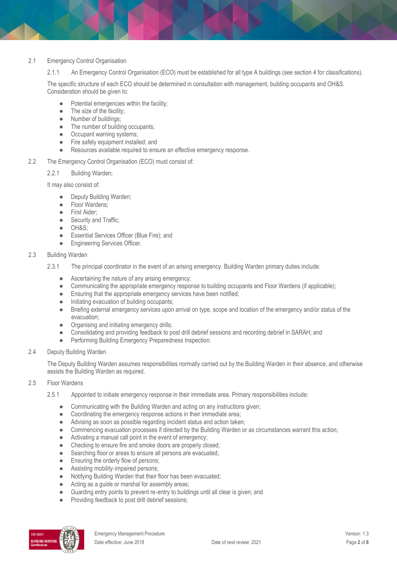#### 2.1 Emergency Control Organisation

2.1.1 An Emergency Control Organisation (ECO) must be established for all type A buildings (see section 4 for classifications).

The specific structure of each ECO should be determined in consultation with management, building occupants and OH&S. Consideration should be given to:

- Potential emergencies within the facility:
- The size of the facility;
- Number of buildings;
- The number of building occupants;
- Occupant warning systems;
- Fire safety equipment installed; and
- Resources available required to ensure an effective emergency response.
- 2.2 The Emergency Control Organisation (ECO) must consist of:

2.2.1 Building Warden;

It may also consist of:

- Deputy Building Warden;
- Floor Wardens:
- First Aider;
- Security and Traffic;
- OH&S;
- Essential Services Officer (Blue Fire); and
- **•** Engineering Services Officer.

#### 2.3 Building Warden

- 2.3.1 The principal coordinator in the event of an arising emergency. Building Warden primary duties include:
	- Ascertaining the nature of any arising emergency;
	- Communicating the appropriate emergency response to building occupants and Floor Wardens (if applicable);
	- **•** Ensuring that the appropriate emergency services have been notified;
	- Initiating evacuation of building occupants;
	- Briefing external emergency services upon arrival on type, scope and location of the emergency and/or status of the evacuation;
	- Organising and initiating emergency drills;
	- Consolidating and providing feedback to post drill debrief sessions and recording debrief in SARAH; and
	- Performing Building Emergency Preparedness Inspection.
- 2.4 Deputy Building Warden

The Deputy Building Warden assumes responsibilities normally carried out by the Building Warden in their absence, and otherwise assists the Building Warden as required.

#### 2.5 Floor Wardens

- 2.5.1 Appointed to initiate emergency response in their immediate area. Primary responsibilities include:
	- Communicating with the Building Warden and acting on any instructions given;
	- Coordinating the emergency response actions in their immediate area;
	- Advising as soon as possible regarding incident status and action taken;
	- Commencing evacuation processes if directed by the Building Warden or as circumstances warrant this action;
	- Activating a manual call point in the event of emergency;
	- Checking to ensure fire and smoke doors are properly closed;
	- Searching floor or areas to ensure all persons are evacuated;
	- Ensuring the orderly flow of persons:
	- Assisting mobility-impaired persons;
	- Notifying Building Warden that their floor has been evacuated;
	- Acting as a guide or marshal for assembly areas;
	- Guarding entry points to prevent re-entry to buildings until all clear is given; and
	- Providing feedback to post drill debrief sessions;

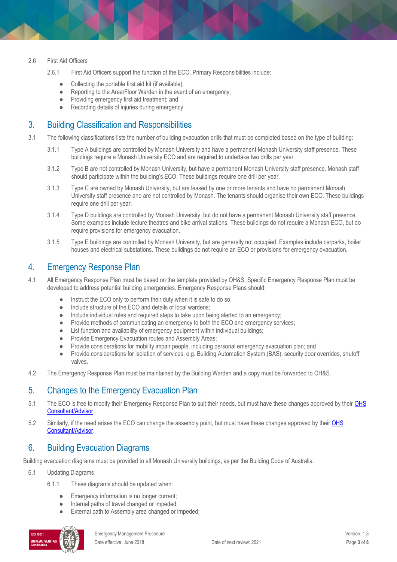#### 2.6 First Aid Officers

- 2.6.1 First Aid Officers support the function of the ECO. Primary Responsibilities include:
	- Collecting the portable first aid kit (if available);<br>● Reporting to the Area/Floor Warden in the even
	- Reporting to the Area/Floor Warden in the event of an emergency;
	- Providing emergency first aid treatment; and
	- Recording details of injuries during emergency

## 3. Building Classification and Responsibilities

- 3.1 The following classifications lists the number of building evacuation drills that must be completed based on the type of building:
	- 3.1.1 Type A buildings are controlled by Monash University and have a permanent Monash University staff presence. These buildings require a Monash University ECO and are required to undertake two drills per year.
	- 3.1.2 Type B are not controlled by Monash University, but have a permanent Monash University staff presence. Monash staff should participate within the building's ECO. These buildings require one drill per year.
	- 3.1.3 Type C are owned by Monash University, but are leased by one or more tenants and have no permanent Monash University staff presence and are not controlled by Monash. The tenants should organise their own ECO. These buildings require one drill per year.
	- 3.1.4 Type D buildings are controlled by Monash University, but do not have a permanent Monash University staff presence. Some examples include lecture theatres and bike arrival stations. These buildings do not require a Monash ECO, but do require provisions for emergency evacuation.
	- 3.1.5 Type E buildings are controlled by Monash University, but are generally not occupied. Examples include carparks, boiler houses and electrical substations. These buildings do not require an ECO or provisions for emergency evacuation.

## 4. Emergency Response Plan

4.1 All Emergency Response Plan must be based on the template provided by OH&S. Specific Emergency Response Plan must be developed to address potential building emergencies. Emergency Response Plans should:

- Instruct the ECO only to perform their duty when it is safe to do so;
- Include structure of the ECO and details of local wardens;
- Include individual roles and required steps to take upon being alerted to an emergency;
- Provide methods of communicating an emergency to both the ECO and emergency services;
- List function and availability of emergency equipment within individual buildings;
- Provide Emergency Evacuation routes and Assembly Areas;
- Provide considerations for mobility impair people, including personal emergency evacuation plan; and
- Provide considerations for isolation of services, e.g. Building Automation System (BAS), security door overrides, shutoff valves.
- 4.2 The Emergency Response Plan must be maintained by the Building Warden and a copy must be forwarded to OH&S.

# 5. Changes to the Emergency Evacuation Plan

- 5.1 The ECO is free to modify their Emergency Response Plan to suit their needs, but must have these changes approved by their OHS [Consultant/Advisor.](https://www.monash.edu/ohs/AboutUs)
- 5.2 Similarly, if the need arises the ECO can change the assembly point, but must have these changes approved by thei[r OHS](https://www.monash.edu/ohs/AboutUs)  [Consultant/Advisor.](https://www.monash.edu/ohs/AboutUs)

# 6. Building Evacuation Diagrams

Building evacuation diagrams must be provided to all Monash University buildings, as per the Building Code of Australia.

- 6.1 Updating Diagrams
	- 6.1.1 These diagrams should be updated when:
		- Emergency information is no longer current;
		- Internal paths of travel changed or impeded;
		- External path to Assembly area changed or impeded;

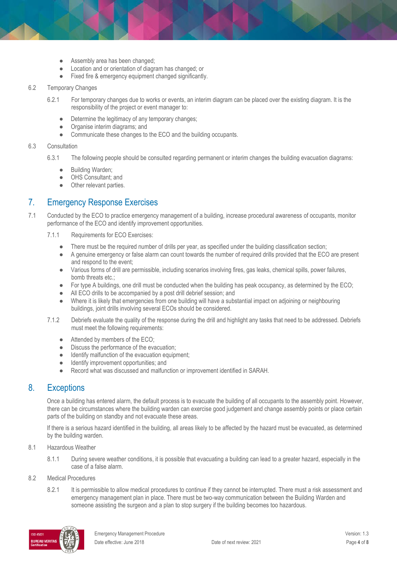- Assembly area has been changed;
- Location and or orientation of diagram has changed; or
- Fixed fire & emergency equipment changed significantly.

#### 6.2 Temporary Changes

- 6.2.1 For temporary changes due to works or events, an interim diagram can be placed over the existing diagram. It is the responsibility of the project or event manager to:
	- Determine the legitimacy of any temporary changes;
	- Organise interim diagrams; and
	- Communicate these changes to the ECO and the building occupants.

#### 6.3 Consultation

- 6.3.1 The following people should be consulted regarding permanent or interim changes the building evacuation diagrams:
	- Building Warden;
	- OHS Consultant; and
	- Other relevant parties.

## 7. Emergency Response Exercises

- 7.1 Conducted by the ECO to practice emergency management of a building, increase procedural awareness of occupants, monitor performance of the ECO and identify improvement opportunities.
	- 7.1.1 Requirements for ECO Exercises:
		- There must be the required number of drills per year, as specified under the building classification section;
		- A genuine emergency or false alarm can count towards the number of required drills provided that the ECO are present and respond to the event;
		- Various forms of drill are permissible, including scenarios involving fires, gas leaks, chemical spills, power failures, bomb threats etc.;
		- For type A buildings, one drill must be conducted when the building has peak occupancy, as determined by the ECO;
		- All ECO drills to be accompanied by a post drill debrief session; and
		- Where it is likely that emergencies from one building will have a substantial impact on adjoining or neighbouring buildings, joint drills involving several ECOs should be considered.
	- 7.1.2 Debriefs evaluate the quality of the response during the drill and highlight any tasks that need to be addressed. Debriefs must meet the following requirements:
		- Attended by members of the ECO;
		- Discuss the performance of the evacuation;
		- Identify malfunction of the evacuation equipment;
		- Identify improvement opportunities; and<br>● Record what was discussed and malfune
		- Record what was discussed and malfunction or improvement identified in SARAH.

## 8. Exceptions

Once a building has entered alarm, the default process is to evacuate the building of all occupants to the assembly point. However, there can be circumstances where the building warden can exercise good judgement and change assembly points or place certain parts of the building on standby and not evacuate these areas.

If there is a serious hazard identified in the building, all areas likely to be affected by the hazard must be evacuated, as determined by the building warden.

- 8.1 Hazardous Weather
	- 8.1.1 During severe weather conditions, it is possible that evacuating a building can lead to a greater hazard, especially in the case of a false alarm.
- 8.2 Medical Procedures
	- 8.2.1 It is permissible to allow medical procedures to continue if they cannot be interrupted. There must a risk assessment and emergency management plan in place. There must be two-way communication between the Building Warden and someone assisting the surgeon and a plan to stop surgery if the building becomes too hazardous.

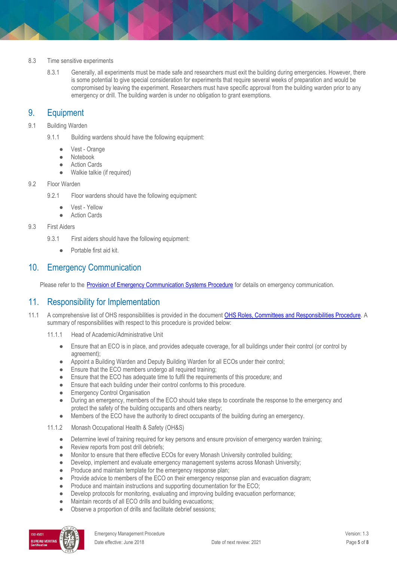- 8.3 Time sensitive experiments
	- 8.3.1 Generally, all experiments must be made safe and researchers must exit the building during emergencies. However, there is some potential to give special consideration for experiments that require several weeks of preparation and would be compromised by leaving the experiment. Researchers must have specific approval from the building warden prior to any emergency or drill. The building warden is under no obligation to grant exemptions.

# 9. Equipment

- 9.1 Building Warden
	- 9.1.1 Building wardens should have the following equipment:
		- Vest Orange
		- Notebook
		- Action Cards
		- Walkie talkie (if required)
- 9.2 Floor Warden
	- 9.2.1 Floor wardens should have the following equipment:
		- Vest Yellow
		- **Action Cards**
- 9.3 First Aiders
	- 9.3.1 First aiders should have the following equipment:
		- Portable first aid kit.

## 10. Emergency Communication

Please refer to the [Provision of Emergency Communication Systems Procedure](https://publicpolicydms.monash.edu/Monash/documents/1935646) for details on emergency communication.

## 11. Responsibility for Implementation

- 11.1 A comprehensive list of OHS responsibilities is provided in the documen[t OHS Roles, Committees and Responsibilities Procedure.](https://publicpolicydms.monash.edu/Monash/documents/1935644) A summary of responsibilities with respect to this procedure is provided below:
	- 11.1.1 Head of Academic/Administrative Unit
		- Ensure that an ECO is in place, and provides adequate coverage, for all buildings under their control (or control by agreement);
		- Appoint a Building Warden and Deputy Building Warden for all ECOs under their control;
		- Ensure that the ECO members undergo all required training:
		- Ensure that the ECO has adequate time to fulfil the requirements of this procedure; and
		- Ensure that each building under their control conforms to this procedure.
		- **•** Emergency Control Organisation
		- During an emergency, members of the ECO should take steps to coordinate the response to the emergency and protect the safety of the building occupants and others nearby;
		- Members of the ECO have the authority to direct occupants of the building during an emergency.
	- 11.1.2 Monash Occupational Health & Safety (OH&S)
		- Determine level of training required for key persons and ensure provision of emergency warden training;
		- Review reports from post drill debriefs;
		- Monitor to ensure that there effective ECOs for every Monash University controlled building;
		- Develop, implement and evaluate emergency management systems across Monash University;
		- Produce and maintain template for the emergency response plan;
		- Provide advice to members of the ECO on their emergency response plan and evacuation diagram;
		- Produce and maintain instructions and supporting documentation for the ECO;
		- Develop protocols for monitoring, evaluating and improving building evacuation performance;
		- Maintain records of all ECO drills and building evacuations;
		- Observe a proportion of drills and facilitate debrief sessions;

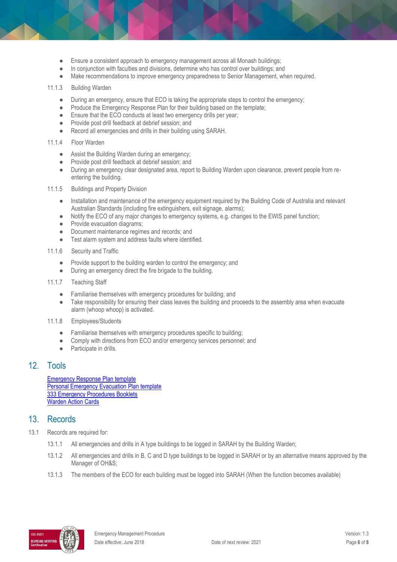- Ensure a consistent approach to emergency management across all Monash buildings;
- In conjunction with faculties and divisions, determine who has control over buildings; and
- Make recommendations to improve emergency preparedness to Senior Management, when required.

#### 11.1.3 Building Warden

- During an emergency, ensure that ECO is taking the appropriate steps to control the emergency;
- Produce the Emergency Response Plan for their building based on the template;<br>● Ensure that the ECO conducts at least two emergency drills ner vear:
- Ensure that the ECO conducts at least two emergency drills per year;<br>● Provide post drill feedback at debrief session: and
- Provide post drill feedback at debrief session; and
- Record all emergencies and drills in their building using SARAH.
- 11.1.4 Floor Warden
	- Assist the Building Warden during an emergency;
	- Provide post drill feedback at debrief session; and
	- During an emergency clear designated area, report to Building Warden upon clearance, prevent people from reentering the building.
- 11.1.5 Buildings and Property Division
	- Installation and maintenance of the emergency equipment required by the Building Code of Australia and relevant Australian Standards (including fire extinguishers, exit signage, alarms);
	- Notify the ECO of any major changes to emergency systems, e.g. changes to the EWIS panel function;
	- Provide evacuation diagrams;<br>• Document maintenance reaim
	- Document maintenance regimes and records; and
	- Test alarm system and address faults where identified.
- 11.1.6 Security and Traffic
	- Provide support to the building warden to control the emergency; and
	- During an emergency direct the fire brigade to the building.
- 11.1.7 Teaching Staff
	- Familiarise themselves with emergency procedures for building; and
	- Take responsibility for ensuring their class leaves the building and proceeds to the assembly area when evacuate alarm (whoop whoop) is activated.
- 11.1.8 Employees/Students
	- Familiarise themselves with emergency procedures specific to building;
	- Comply with directions from ECO and/or emergency services personnel; and<br>● Participate in drills.
	- Participate in drills.

### 12. Tools

[Emergency Response Plan template](https://www.monash.edu/__data/assets/word_doc/0006/1397184/Emergency-Response-Plan-Template.docx) **[Personal Emergency Evacuation Plan template](https://www.monash.edu/__data/assets/word_doc/0007/1397185/Personal-Emergency-Evacuation-Plan.docx)** [333 Emergency Procedures Booklets](https://www.monash.edu/ohs/info-docs/emergency-and-fire-safety) [Warden Action Cards](https://www.monash.edu/__data/assets/word_doc/0008/1397186/Warden-Action-Card.docx)

## 13. Records

- 13.1 Records are required for:
	- 13.1.1 All emergencies and drills in A type buildings to be logged in SARAH by the Building Warden;
	- 13.1.2 All emergencies and drills in B, C and D type buildings to be logged in SARAH or by an alternative means approved by the Manager of OH&S;
	- 13.1.3 The members of the ECO for each building must be logged into SARAH (When the function becomes available)

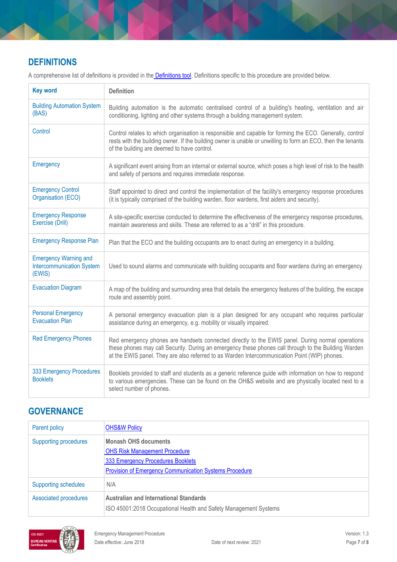# **DEFINITIONS**

A comprehensive list of definitions is provided in the **Definitions tool**. Definitions specific to this procedure are provided below.

| <b>Key word</b>                                                            | <b>Definition</b>                                                                                                                                                                                                                                                                                         |
|----------------------------------------------------------------------------|-----------------------------------------------------------------------------------------------------------------------------------------------------------------------------------------------------------------------------------------------------------------------------------------------------------|
| <b>Building Automation System</b><br>(BAS)                                 | Building automation is the automatic centralised control of a building's heating, ventilation and air<br>conditioning, lighting and other systems through a building management system.                                                                                                                   |
| Control                                                                    | Control relates to which organisation is responsible and capable for forming the ECO. Generally, control<br>rests with the building owner. If the building owner is unable or unwilling to form an ECO, then the tenants<br>of the building are deemed to have control.                                   |
| Emergency                                                                  | A significant event arising from an internal or external source, which poses a high level of risk to the health<br>and safety of persons and requires immediate response.                                                                                                                                 |
| <b>Emergency Control</b><br>Organisation (ECO)                             | Staff appointed to direct and control the implementation of the facility's emergency response procedures<br>(it is typically comprised of the building warden, floor wardens, first aiders and security).                                                                                                 |
| <b>Emergency Response</b><br>Exercise (Drill)                              | A site-specific exercise conducted to determine the effectiveness of the emergency response procedures,<br>maintain awareness and skills. These are referred to as a "drill" in this procedure.                                                                                                           |
| <b>Emergency Response Plan</b>                                             | Plan that the ECO and the building occupants are to enact during an emergency in a building.                                                                                                                                                                                                              |
| <b>Emergency Warning and</b><br><b>Intercommunication System</b><br>(EWIS) | Used to sound alarms and communicate with building occupants and floor wardens during an emergency.                                                                                                                                                                                                       |
| <b>Evacuation Diagram</b>                                                  | A map of the building and surrounding area that details the emergency features of the building, the escape<br>route and assembly point.                                                                                                                                                                   |
| <b>Personal Emergency</b><br><b>Evacuation Plan</b>                        | A personal emergency evacuation plan is a plan designed for any occupant who requires particular<br>assistance during an emergency, e.g. mobility or visually impaired.                                                                                                                                   |
| <b>Red Emergency Phones</b>                                                | Red emergency phones are handsets connected directly to the EWIS panel. During normal operations<br>these phones may call Security. During an emergency these phones call through to the Building Warden<br>at the EWIS panel. They are also referred to as Warden Intercommunication Point (WIP) phones. |
| 333 Emergency Procedures<br><b>Booklets</b>                                | Booklets provided to staff and students as a generic reference guide with information on how to respond<br>to various emergencies. These can be found on the OH&S website and are physically located next to a<br>select number of phones.                                                                |

# **GOVERNANCE**

| Parent policy                | <b>OHS&amp;W Policy</b>                                                                                                                                                   |
|------------------------------|---------------------------------------------------------------------------------------------------------------------------------------------------------------------------|
| <b>Supporting procedures</b> | <b>Monash OHS documents</b><br><b>OHS Risk Management Procedure</b><br>333 Emergency Procedures Booklets<br><b>Provision of Emergency Communication Systems Procedure</b> |
| <b>Supporting schedules</b>  | N/A                                                                                                                                                                       |
| <b>Associated procedures</b> | <b>Australian and International Standards</b><br>ISO 45001:2018 Occupational Health and Safety Management Systems                                                         |